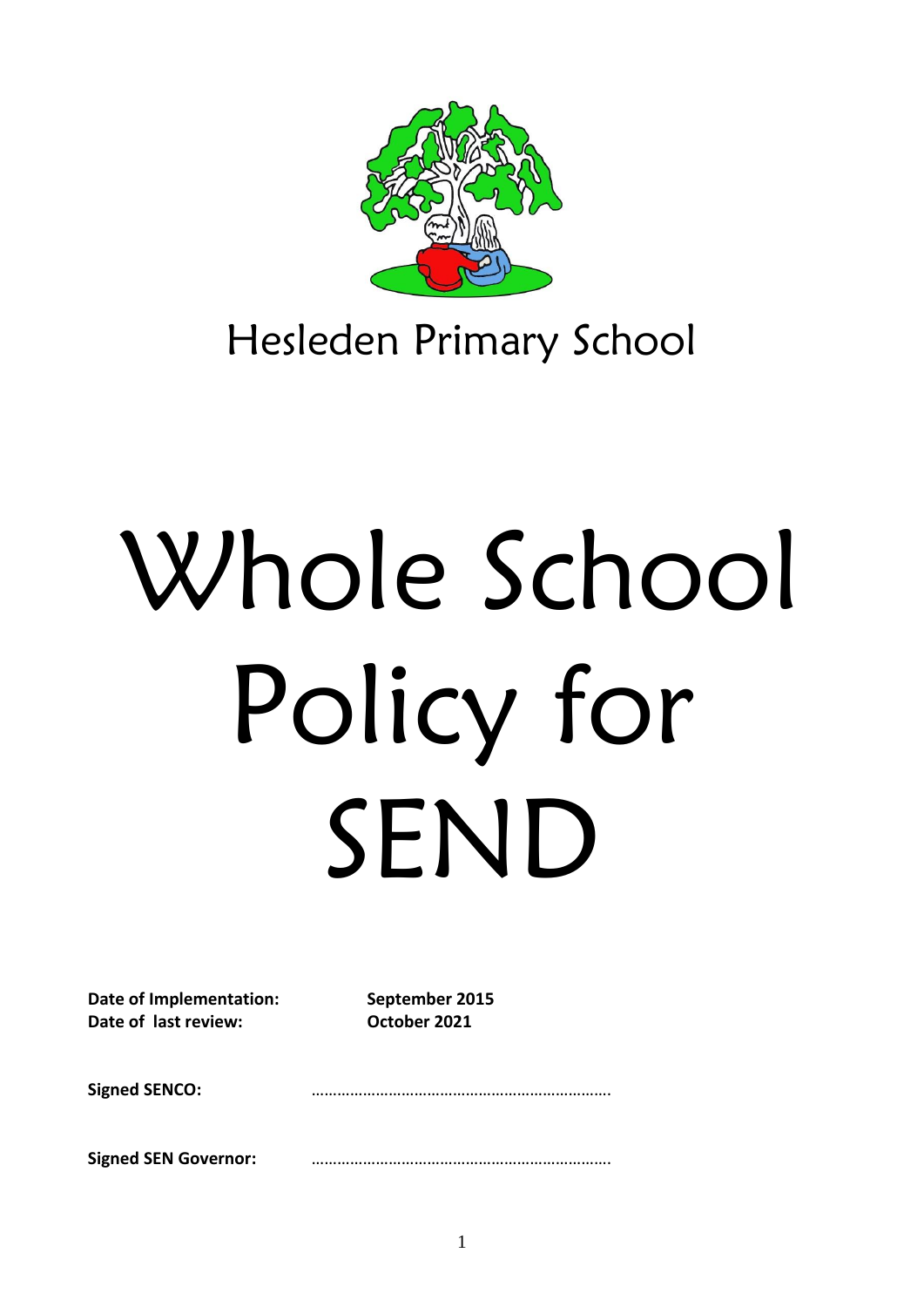

# Hesleden Primary School

# Whole School Policy for SEND

**Date of Implementation: September 2015 Date of last review: October 2021**

**Signed SENCO:** …………………………………………………………….

**Signed SEN Governor:** …………………………………………………………….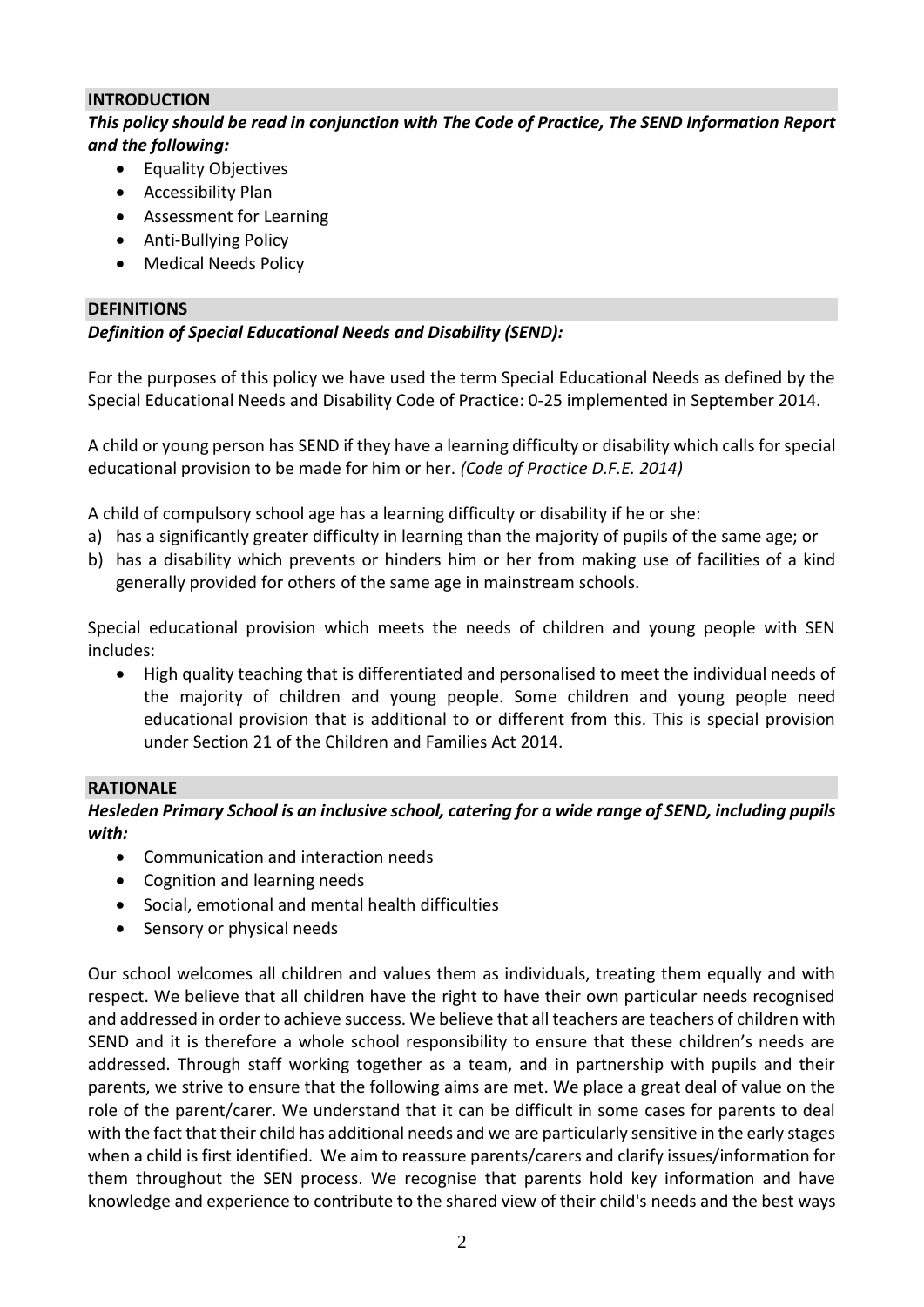#### **INTRODUCTION**

*This policy should be read in conjunction with The Code of Practice, The SEND Information Report and the following:*

- Equality Objectives
- Accessibility Plan
- Assessment for Learning
- Anti-Bullying Policy
- Medical Needs Policy

#### **DEFINITIONS**

# *Definition of Special Educational Needs and Disability (SEND):*

For the purposes of this policy we have used the term Special Educational Needs as defined by the Special Educational Needs and Disability Code of Practice: 0-25 implemented in September 2014.

A child or young person has SEND if they have a learning difficulty or disability which calls for special educational provision to be made for him or her. *(Code of Practice D.F.E. 2014)* 

A child of compulsory school age has a learning difficulty or disability if he or she:

- a) has a significantly greater difficulty in learning than the majority of pupils of the same age; or
- b) has a disability which prevents or hinders him or her from making use of facilities of a kind generally provided for others of the same age in mainstream schools.

Special educational provision which meets the needs of children and young people with SEN includes:

• High quality teaching that is differentiated and personalised to meet the individual needs of the majority of children and young people. Some children and young people need educational provision that is additional to or different from this. This is special provision under Section 21 of the Children and Families Act 2014.

## **RATIONALE**

*Hesleden Primary School is an inclusive school, catering for a wide range of SEND, including pupils with:*

- Communication and interaction needs
- Cognition and learning needs
- Social, emotional and mental health difficulties
- Sensory or physical needs

Our school welcomes all children and values them as individuals, treating them equally and with respect. We believe that all children have the right to have their own particular needs recognised and addressed in order to achieve success. We believe that all teachers are teachers of children with SEND and it is therefore a whole school responsibility to ensure that these children's needs are addressed. Through staff working together as a team, and in partnership with pupils and their parents, we strive to ensure that the following aims are met. We place a great deal of value on the role of the parent/carer. We understand that it can be difficult in some cases for parents to deal with the fact that their child has additional needs and we are particularly sensitive in the early stages when a child is first identified. We aim to reassure parents/carers and clarify issues/information for them throughout the SEN process. We recognise that parents hold key information and have knowledge and experience to contribute to the shared view of their child's needs and the best ways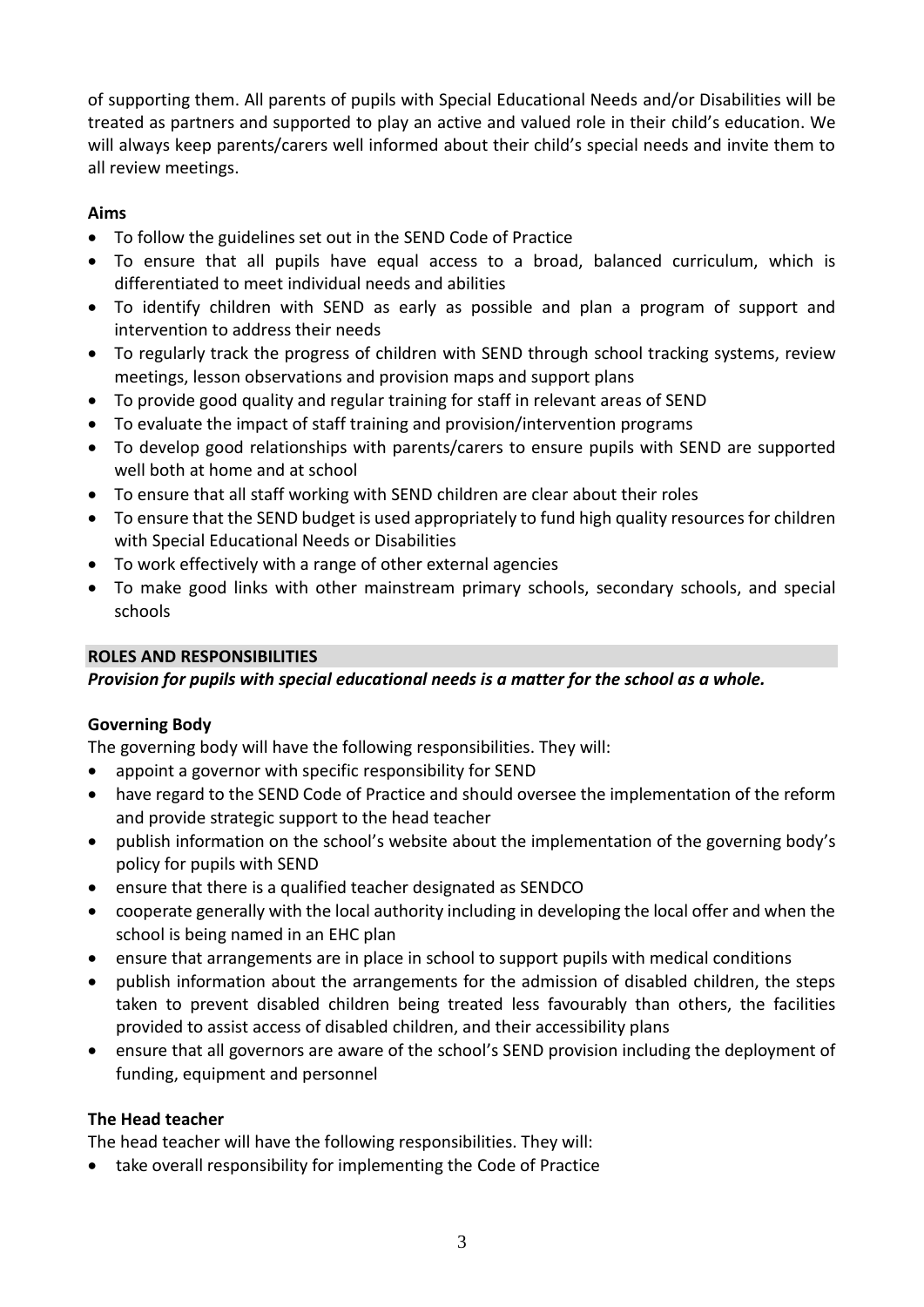of supporting them. All parents of pupils with Special Educational Needs and/or Disabilities will be treated as partners and supported to play an active and valued role in their child's education. We will always keep parents/carers well informed about their child's special needs and invite them to all review meetings.

# **Aims**

- To follow the guidelines set out in the SEND Code of Practice
- To ensure that all pupils have equal access to a broad, balanced curriculum, which is differentiated to meet individual needs and abilities
- To identify children with SEND as early as possible and plan a program of support and intervention to address their needs
- To regularly track the progress of children with SEND through school tracking systems, review meetings, lesson observations and provision maps and support plans
- To provide good quality and regular training for staff in relevant areas of SEND
- To evaluate the impact of staff training and provision/intervention programs
- To develop good relationships with parents/carers to ensure pupils with SEND are supported well both at home and at school
- To ensure that all staff working with SEND children are clear about their roles
- To ensure that the SEND budget is used appropriately to fund high quality resources for children with Special Educational Needs or Disabilities
- To work effectively with a range of other external agencies
- To make good links with other mainstream primary schools, secondary schools, and special schools

# **ROLES AND RESPONSIBILITIES**

*Provision for pupils with special educational needs is a matter for the school as a whole.* 

## **Governing Body**

The governing body will have the following responsibilities. They will:

- appoint a governor with specific responsibility for SEND
- have regard to the SEND Code of Practice and should oversee the implementation of the reform and provide strategic support to the head teacher
- publish information on the school's website about the implementation of the governing body's policy for pupils with SEND
- ensure that there is a qualified teacher designated as SENDCO
- cooperate generally with the local authority including in developing the local offer and when the school is being named in an EHC plan
- ensure that arrangements are in place in school to support pupils with medical conditions
- publish information about the arrangements for the admission of disabled children, the steps taken to prevent disabled children being treated less favourably than others, the facilities provided to assist access of disabled children, and their accessibility plans
- ensure that all governors are aware of the school's SEND provision including the deployment of funding, equipment and personnel

## **The Head teacher**

The head teacher will have the following responsibilities. They will:

• take overall responsibility for implementing the Code of Practice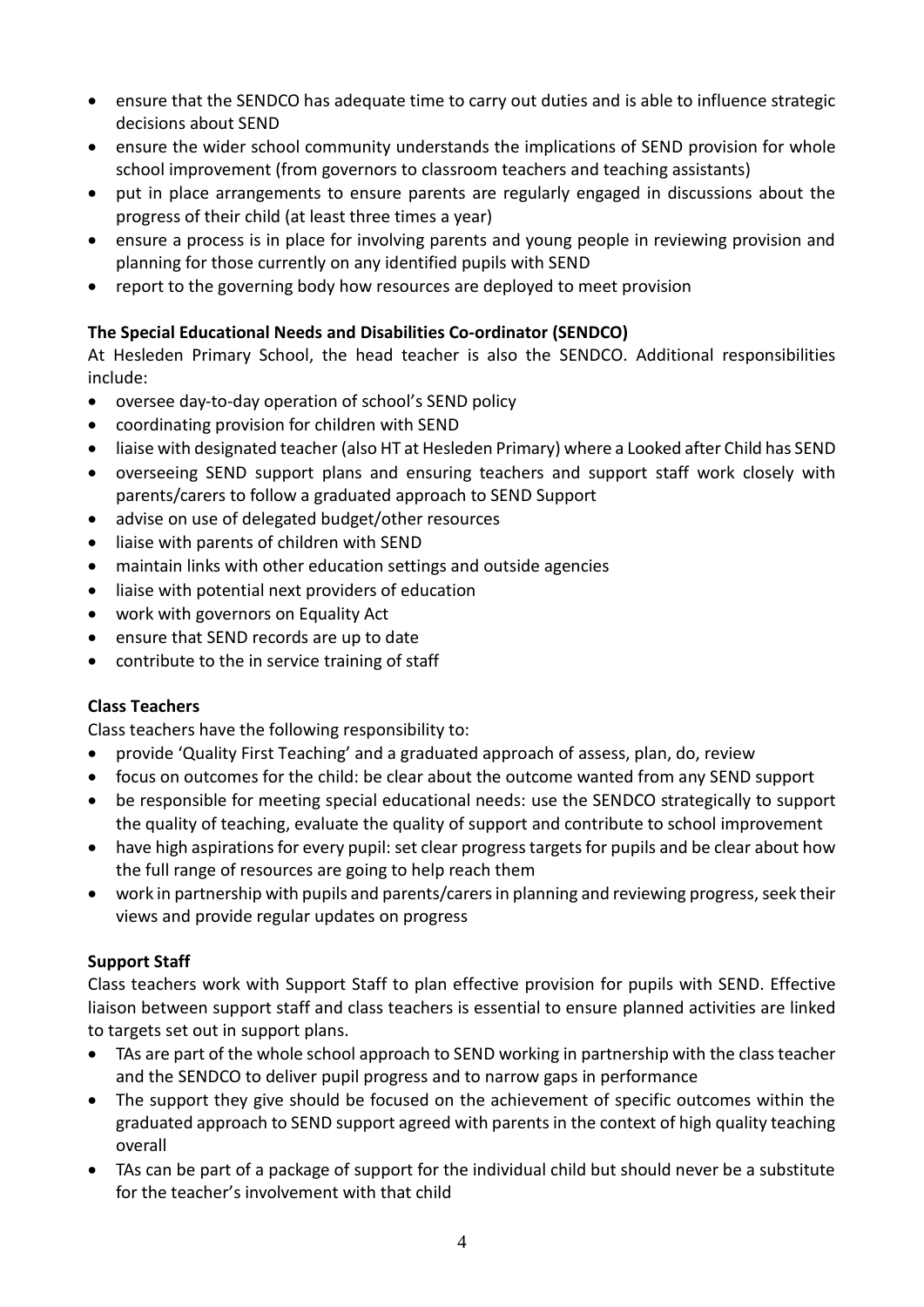- ensure that the SENDCO has adequate time to carry out duties and is able to influence strategic decisions about SEND
- ensure the wider school community understands the implications of SEND provision for whole school improvement (from governors to classroom teachers and teaching assistants)
- put in place arrangements to ensure parents are regularly engaged in discussions about the progress of their child (at least three times a year)
- ensure a process is in place for involving parents and young people in reviewing provision and planning for those currently on any identified pupils with SEND
- report to the governing body how resources are deployed to meet provision

# **The Special Educational Needs and Disabilities Co-ordinator (SENDCO)**

At Hesleden Primary School, the head teacher is also the SENDCO. Additional responsibilities include:

- oversee day-to-day operation of school's SEND policy
- coordinating provision for children with SEND
- liaise with designated teacher (also HT at Hesleden Primary) where a Looked after Child has SEND
- overseeing SEND support plans and ensuring teachers and support staff work closely with parents/carers to follow a graduated approach to SEND Support
- advise on use of delegated budget/other resources
- liaise with parents of children with SEND
- maintain links with other education settings and outside agencies
- liaise with potential next providers of education
- work with governors on Equality Act
- ensure that SEND records are up to date
- contribute to the in service training of staff

## **Class Teachers**

Class teachers have the following responsibility to:

- provide 'Quality First Teaching' and a graduated approach of assess, plan, do, review
- focus on outcomes for the child: be clear about the outcome wanted from any SEND support
- be responsible for meeting special educational needs: use the SENDCO strategically to support the quality of teaching, evaluate the quality of support and contribute to school improvement
- have high aspirations for every pupil: set clear progress targets for pupils and be clear about how the full range of resources are going to help reach them
- work in partnership with pupils and parents/carersin planning and reviewing progress, seek their views and provide regular updates on progress

## **Support Staff**

Class teachers work with Support Staff to plan effective provision for pupils with SEND. Effective liaison between support staff and class teachers is essential to ensure planned activities are linked to targets set out in support plans.

- TAs are part of the whole school approach to SEND working in partnership with the class teacher and the SENDCO to deliver pupil progress and to narrow gaps in performance
- The support they give should be focused on the achievement of specific outcomes within the graduated approach to SEND support agreed with parents in the context of high quality teaching overall
- TAs can be part of a package of support for the individual child but should never be a substitute for the teacher's involvement with that child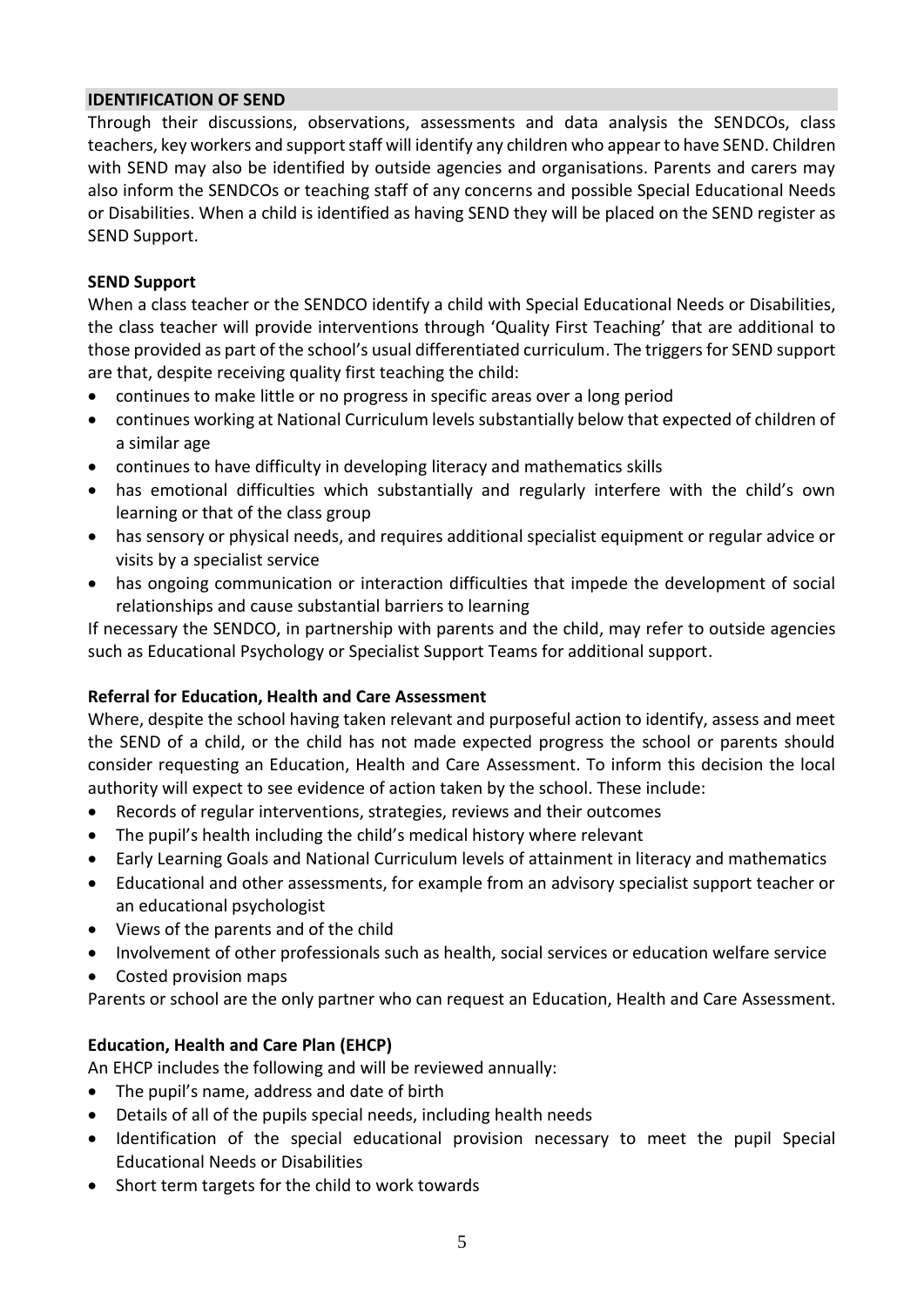#### **IDENTIFICATION OF SEND**

Through their discussions, observations, assessments and data analysis the SENDCOs, class teachers, key workers and support staff will identify any children who appear to have SEND. Children with SEND may also be identified by outside agencies and organisations. Parents and carers may also inform the SENDCOs or teaching staff of any concerns and possible Special Educational Needs or Disabilities. When a child is identified as having SEND they will be placed on the SEND register as SEND Support.

#### **SEND Support**

When a class teacher or the SENDCO identify a child with Special Educational Needs or Disabilities, the class teacher will provide interventions through 'Quality First Teaching' that are additional to those provided as part of the school's usual differentiated curriculum. The triggers for SEND support are that, despite receiving quality first teaching the child:

- continues to make little or no progress in specific areas over a long period
- continues working at National Curriculum levels substantially below that expected of children of a similar age
- continues to have difficulty in developing literacy and mathematics skills
- has emotional difficulties which substantially and regularly interfere with the child's own learning or that of the class group
- has sensory or physical needs, and requires additional specialist equipment or regular advice or visits by a specialist service
- has ongoing communication or interaction difficulties that impede the development of social relationships and cause substantial barriers to learning

If necessary the SENDCO, in partnership with parents and the child, may refer to outside agencies such as Educational Psychology or Specialist Support Teams for additional support.

#### **Referral for Education, Health and Care Assessment**

Where, despite the school having taken relevant and purposeful action to identify, assess and meet the SEND of a child, or the child has not made expected progress the school or parents should consider requesting an Education, Health and Care Assessment. To inform this decision the local authority will expect to see evidence of action taken by the school. These include:

- Records of regular interventions, strategies, reviews and their outcomes
- The pupil's health including the child's medical history where relevant
- Early Learning Goals and National Curriculum levels of attainment in literacy and mathematics
- Educational and other assessments, for example from an advisory specialist support teacher or an educational psychologist
- Views of the parents and of the child
- Involvement of other professionals such as health, social services or education welfare service
- Costed provision maps

Parents or school are the only partner who can request an Education, Health and Care Assessment.

## **Education, Health and Care Plan (EHCP)**

An EHCP includes the following and will be reviewed annually:

- The pupil's name, address and date of birth
- Details of all of the pupils special needs, including health needs
- Identification of the special educational provision necessary to meet the pupil Special Educational Needs or Disabilities
- Short term targets for the child to work towards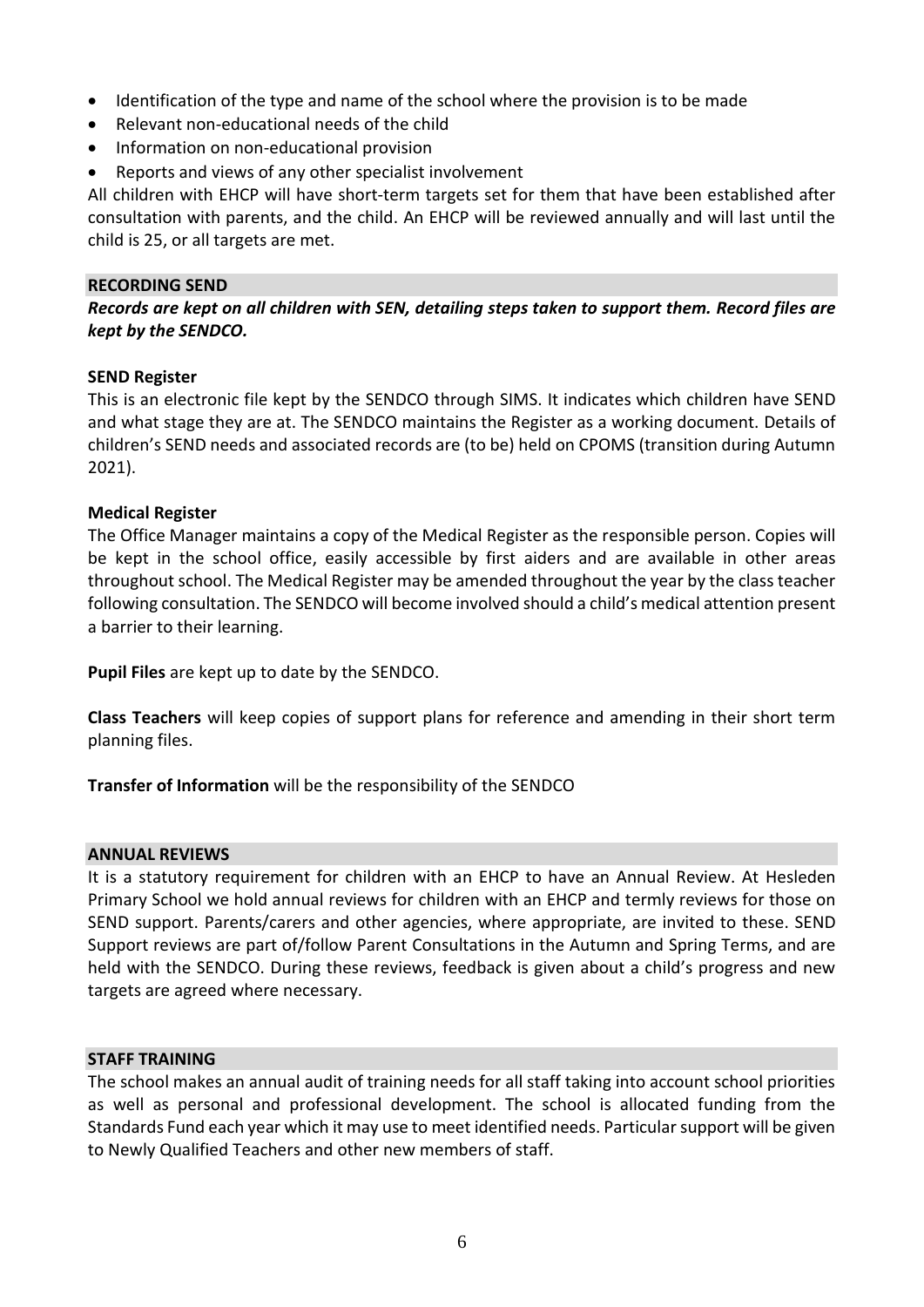- Identification of the type and name of the school where the provision is to be made
- Relevant non-educational needs of the child
- Information on non-educational provision
- Reports and views of any other specialist involvement

All children with EHCP will have short-term targets set for them that have been established after consultation with parents, and the child. An EHCP will be reviewed annually and will last until the child is 25, or all targets are met.

#### **RECORDING SEND**

*Records are kept on all children with SEN, detailing steps taken to support them. Record files are kept by the SENDCO.*

#### **SEND Register**

This is an electronic file kept by the SENDCO through SIMS. It indicates which children have SEND and what stage they are at. The SENDCO maintains the Register as a working document. Details of children's SEND needs and associated records are (to be) held on CPOMS (transition during Autumn 2021).

#### **Medical Register**

The Office Manager maintains a copy of the Medical Register as the responsible person. Copies will be kept in the school office, easily accessible by first aiders and are available in other areas throughout school. The Medical Register may be amended throughout the year by the class teacher following consultation. The SENDCO will become involved should a child's medical attention present a barrier to their learning.

**Pupil Files** are kept up to date by the SENDCO.

**Class Teachers** will keep copies of support plans for reference and amending in their short term planning files.

**Transfer of Information** will be the responsibility of the SENDCO

#### **ANNUAL REVIEWS**

It is a statutory requirement for children with an EHCP to have an Annual Review. At Hesleden Primary School we hold annual reviews for children with an EHCP and termly reviews for those on SEND support. Parents/carers and other agencies, where appropriate, are invited to these. SEND Support reviews are part of/follow Parent Consultations in the Autumn and Spring Terms, and are held with the SENDCO. During these reviews, feedback is given about a child's progress and new targets are agreed where necessary.

#### **STAFF TRAINING**

The school makes an annual audit of training needs for all staff taking into account school priorities as well as personal and professional development. The school is allocated funding from the Standards Fund each year which it may use to meet identified needs. Particular support will be given to Newly Qualified Teachers and other new members of staff.